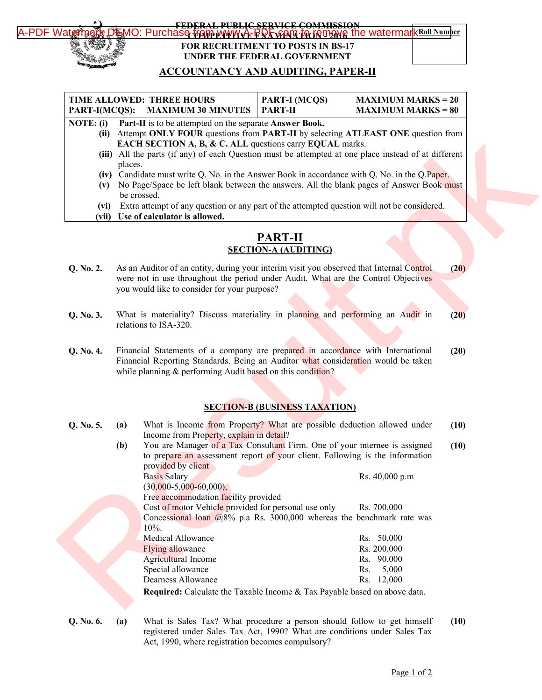

### [A-PDF Watermark DEMO: Purchase from www.A-PDF.com to remove the watermark](http://www.a-pdf.com/?wm-demo) Roll Number **FEDERAL PUBLIC SERVICE COMMISSION**<br>O: Purchas<del>e tram mwww.A. RQL starm</del> for forman **FOR RECRUITMENT TO POSTS IN BS-17 UNDER THE FEDERAL GOVERNMENT**

# **ACCOUNTANCY AND AUDITING, PAPER-II**

| TIME ALLOWED: THREE HOURS                                                 | $\vert$ PART-I (MCQS) | $MAXIMUM MARKS = 20$ |
|---------------------------------------------------------------------------|-----------------------|----------------------|
| PART-I(MCQS): MAXIMUM 30 MINUTES   PART-II                                |                       | $MAXIMUM MARKS = 80$ |
| $NOTE$ . (3) $Day Use Let be determined on the components. A measure Day$ |                       |                      |

**NOTE: (i) Part-II** is to be attempted on the separate **Answer Book.**

- **(ii)** Attempt **ONLY FOUR** questions from **PART-II** by selecting **ATLEAST ONE** question from **EACH SECTION A, B, & C. ALL** questions carry **EQUAL** marks.
- **(iii)** All the parts (if any) of each Question must be attempted at one place instead of at different places.
- **(iv)** Candidate must write Q. No. in the Answer Book in accordance with Q. No. in the Q.Paper.
- **(v)** No Page/Space be left blank between the answers. All the blank pages of Answer Book must be crossed.
- **(vi)** Extra attempt of any question or any part of the attempted question will not be considered.
- **(vii) Use of calculator is allowed.**

### **PART-II SECTION-A (AUDITING)**

- **Q. No. 2.** As an Auditor of an entity, during your interim visit you observed that Internal Control were not in use throughout the period under Audit. What are the Control Objectives you would like to consider for your purpose? **(20)**
- **Q. No. 3.** What is materiality? Discuss materiality in planning and performing an Audit in relations to ISA-320. **(20)**
- **Q. No. 4.** Financial Statements of a company are prepared in accordance with International Financial Reporting Standards. Being an Auditor what consideration would be taken while planning & performing Audit based on this condition? **(20)**

### **SECTION-B (BUSINESS TAXATION)**

| NUTE: (1) |         | <b>EXECUTE:</b> It is to be attempted on the separate <b>Allswer Dook.</b> |                                                                                                      |      |
|-----------|---------|----------------------------------------------------------------------------|------------------------------------------------------------------------------------------------------|------|
|           |         |                                                                            | (ii) Attempt ONLY FOUR questions from PART-II by selecting ATLEAST ONE question from                 |      |
|           |         | EACH SECTION A, B, & C. ALL questions carry EQUAL marks.                   |                                                                                                      |      |
|           |         |                                                                            | (iii) All the parts (if any) of each Question must be attempted at one place instead of at different |      |
|           | places. |                                                                            |                                                                                                      |      |
|           |         |                                                                            | (iv) Candidate must write Q. No. in the Answer Book in accordance with Q. No. in the Q. Paper.       |      |
|           |         |                                                                            | (v) No Page/Space be left blank between the answers. All the blank pages of Answer Book must         |      |
|           |         | be crossed.                                                                |                                                                                                      |      |
| (vi)      |         |                                                                            | Extra attempt of any question or any part of the attempted question will not be considered.          |      |
|           |         | (vii) Use of calculator is allowed.                                        |                                                                                                      |      |
|           |         |                                                                            |                                                                                                      |      |
|           |         |                                                                            | <b>PART-II</b>                                                                                       |      |
|           |         |                                                                            | <b>SECTION-A (AUDITING)</b>                                                                          |      |
|           |         |                                                                            | As an Auditor of an entity, during your interim visit you observed that Internal Control             |      |
| Q. No. 2. |         |                                                                            | were not in use throughout the period under Audit. What are the Control Objectives                   | (20) |
|           |         | you would like to consider for your purpose?                               |                                                                                                      |      |
|           |         |                                                                            |                                                                                                      |      |
|           |         |                                                                            |                                                                                                      |      |
| Q. No. 3. |         |                                                                            | What is materiality? Discuss materiality in planning and performing an Audit in                      | (20) |
|           |         | relations to ISA-320.                                                      |                                                                                                      |      |
|           |         |                                                                            |                                                                                                      |      |
| Q. No. 4. |         |                                                                            | Financial Statements of a company are prepared in accordance with International                      | (20) |
|           |         |                                                                            | Financial Reporting Standards. Being an Auditor what consideration would be taken                    |      |
|           |         | while planning & performing Audit based on this condition?                 |                                                                                                      |      |
|           |         |                                                                            |                                                                                                      |      |
|           |         |                                                                            |                                                                                                      |      |
|           |         |                                                                            | <b>SECTION-B (BUSINESS TAXATION)</b>                                                                 |      |
|           |         |                                                                            |                                                                                                      |      |
| Q. No. 5. | (a)     |                                                                            | What is Income from Property? What are possible deduction allowed under                              | (10) |
|           |         | Income from Property, explain in detail?                                   |                                                                                                      |      |
|           | (b)     |                                                                            | You are Manager of a Tax Consultant Firm. One of your internee is assigned                           | (10) |
|           |         |                                                                            | to prepare an assessment report of your client. Following is the information                         |      |
|           |         | provided by client                                                         |                                                                                                      |      |
|           |         | <b>Basis Salary</b>                                                        | Rs. 40,000 p.m                                                                                       |      |
|           |         | $(30,000-5,000-60,000),$                                                   |                                                                                                      |      |
|           |         | Free accommodation facility provided                                       |                                                                                                      |      |
|           |         | Cost of motor Vehicle provided for personal use only                       | Rs. 700,000                                                                                          |      |
|           |         |                                                                            | Concessional loan $(a)8\%$ p.a Rs. 3000,000 whereas the benchmark rate was                           |      |
|           |         | $10%$ .                                                                    |                                                                                                      |      |
|           |         | Medical Allowance                                                          | Rs. 50,000                                                                                           |      |
|           |         | Flying allowance                                                           | Rs. 200,000                                                                                          |      |
|           |         | <b>Agricultural Income</b>                                                 | Rs. 90,000                                                                                           |      |
|           |         | Special allowance                                                          | 5,000<br>Rs.                                                                                         |      |
|           |         | <b>Dearness Allowance</b>                                                  | Rs. 12,000                                                                                           |      |
|           |         |                                                                            | Required: Calculate the Taxable Income & Tax Payable based on above data.                            |      |
|           |         |                                                                            |                                                                                                      |      |
| Q. No. 6. | (a)     |                                                                            | What is Sales Tax? What procedure a person should follow to get himself                              | (10) |
|           |         |                                                                            |                                                                                                      |      |

registered under Sales Tax Act, 1990? What are conditions under Sales Tax Act, 1990, where registration becomes compulsory?